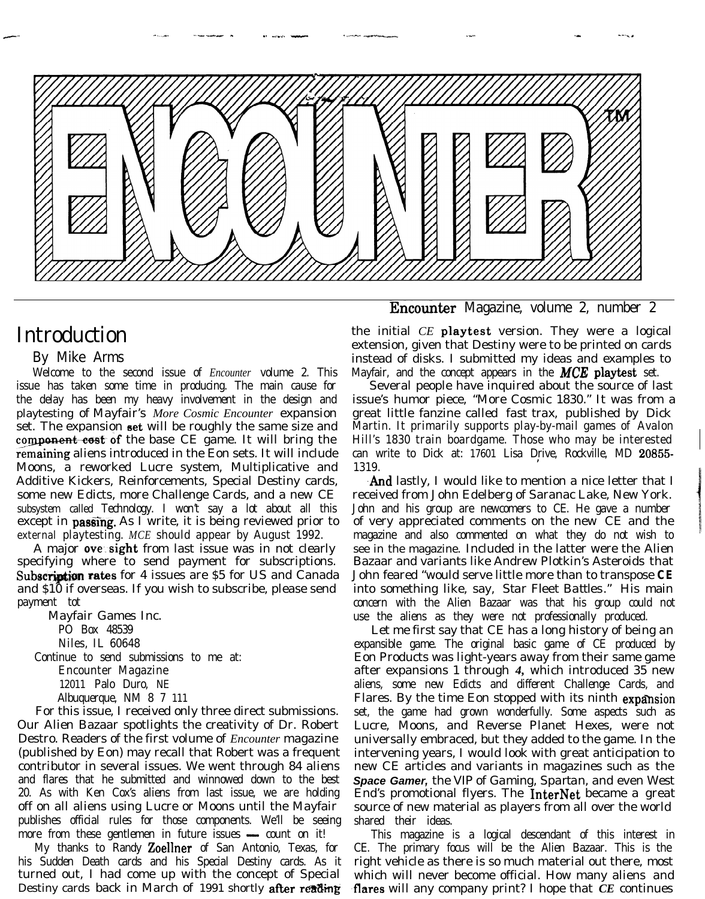

-.-- - -----\* - - - - - - \_\_ -\_\_-\_ .-\_ \_. - v--I%\_ ^--L~-w- \_\_.\_ --. .- --\*-. -

## Introduction

---

### By Mike Arms

Welcome to the second issue of *Encounter* volume 2. This issue has taken some time in producing. The main cause for the delay has been my heavy involvement in the design and playtesting of Mayfair's *More Cosmic Encounter* expansion set. The expansion set will be roughly the same size and component cost of the base *CE* game. It will bring the remaining aliens introduced in the Eon sets. It will include Moons, a reworked Lucre system, Multiplicative and Additive Kickers, Reinforcements, Special Destiny cards, some new Edicts, more Challenge Cards, and a new *CE* subsystem called Technology. I won't say a lot about all this except in **passing**. As I write, it is being reviewed prior to external playtesting. *MCE* should appear by August 1992.

A major **ove sight** from last issue was in not clearly specifying where to send payment for subscriptions. Subscription rates for 4 issues are \$5 for US and Canada and \$10 if overseas. If you wish to subscribe, please send payment tot

Mayfair Games Inc. PO Box 48539 Niles, IL 60648 Continue to send submissions to me at: Encounter Magazine 12011 Palo Duro, NE Albuquerque, NM 8 7 111

For this issue, I received only three direct submissions. Our Alien Bazaar spotlights the creativity of Dr. Robert Destro. Readers of the first volume of *Encounter* magazine (published by Eon) may recall that Robert was a frequent contributor in several issues. We went through 84 aliens and flares that he submitted and winnowed down to the best 20. As with Ken Cox's aliens from last issue, we are holding off on all aliens using Lucre or Moons until the Mayfair publishes official rules for those components. We'll be seeing more from these gentlemen in future issues  $\sim$  count on it!

My thanks to Randy Zoellner of San Antonio, Texas, for his Sudden Death cards and his Special Destiny cards. As it turned out, I had come up with the concept of Special Destiny cards back in March of 1991 shortly after reading

Encounter Magazine, volume 2, number 2

the initial *CE* playtest version. They were a logical extension, given that Destiny were to be printed on cards instead of disks. I submitted my ideas and examples to Mayfair, and the concept appears in the *MCE* playtest set.

Several people have inquired about the source of last issue's humor piece, "More Cosmic 1830." It was from a great little fanzine called *fast trax,* published by Dick Martin. It primarily supports play-by-mail games of Avalon Hill's 1830 train boardgame. Those who may be interested can write to Dick at: 17601 Lisa Drive, Rockville, MD 20855-1319.

And lastly, I would like to mention a nice letter that I received from John Edelberg of Saranac Lake, New York. John and his group are newcomers to *CE.* He gave a number of very appreciated comments on the new *CE* and the magazine and also commented on what they do not wish to see in the magazine. Included in the latter were the Alien Bazaar and variants like Andrew Plotkin's Asteroids that John feared "would serve little more than to transpose *CE* into something like, say, *Star Fleet Battles."* His main concern with the Alien Bazaar was that his group could not use the aliens as they were not professionally produced.

Let me first say that *CE* has a long history of being an expansible game. The original basic game of *CE* produced by Eon Products was light-years away from their same game after expansions 1 through *4,* which introduced 35 new aliens, some new Edicts and different Challenge Cards, and Flares. By the time Eon stopped with its ninth **expansion** set, the game had grown wonderfully. Some aspects such as Lucre, Moons, and Reverse Planet Hexes, were not universally embraced, but they added to the game. In the intervening years, I would look with great anticipation to new *CE* articles and variants in magazines such as the *Space Gamer,* the *VIP of Gaming, Spartan,* and even West End's promotional flyers. The InterNet became a great source of new material as players from all over the world shared their ideas.

This magazine is a logical descendant of this interest in *CE.* The primary focus will be the Alien Bazaar. This is the right vehicle as there is so much material out there, most which will never become official. How many aliens and -flares will any company print? I hope that *CE* continues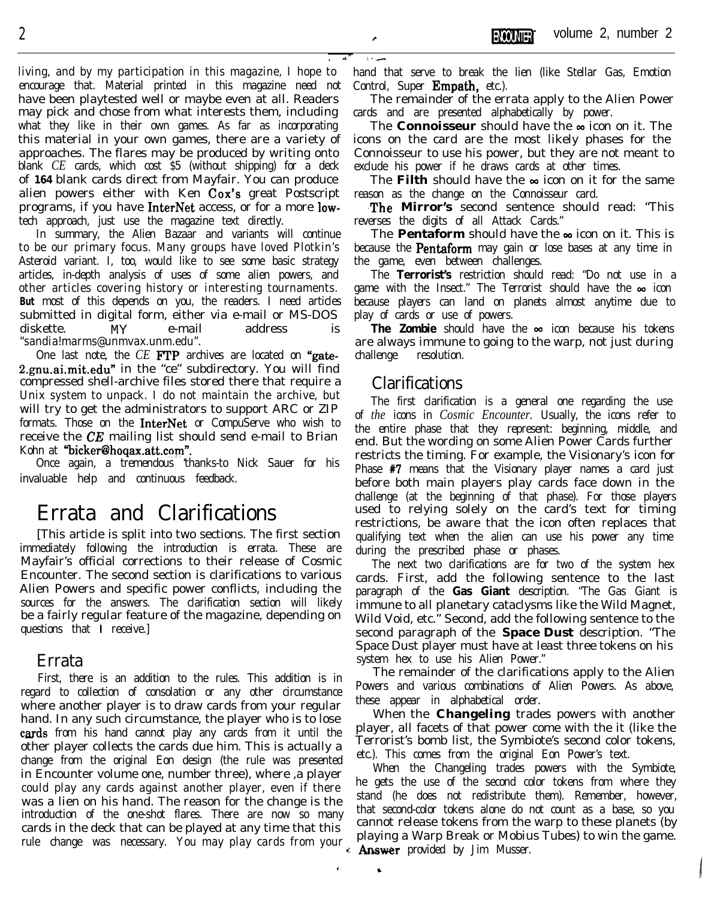living, and by my participation in this magazine, I hope to encourage that. Material printed in this magazine need not have been playtested well or maybe even at all. Readers may pick and chose from what interests them, including what they like in their own games. As far as incorporating this material in your own games, there are a variety of approaches. The flares may be produced by writing onto blank *CE* cards, which cost \$5 (without shipping) for a deck of **164** blank cards direct from Mayfair. You can produce alien powers either with Ken Cox's great Postscript programs, if you have InterNet access, or for a more lowtech approach, just use the magazine text directly.

In summary, the Alien Bazaar and variants will continue to be our primary focus. Many groups have loved Plotkin's Asteroid variant. I, too, would like to see some basic strategy articles, in-depth analysis of uses of some alien powers, and other articles covering history or interesting tournaments. **But** most of this depends on you, the readers. I need articles submitted in digital form, either via e-mail or MS-DOS diskette. MY e-mail address is "sandia!marms@unmvax.unm.edu".

One last note, the *CE* FTP archives are located on "gate-2.gnu.ai.mit.edu" in the "ce" subdirectory. You will find compressed shell-archive files stored there that require a Unix system to unpack. I do not maintain the archive, but will try to get the administrators to support ARC or ZIP formats. Those on the **InterNet** or CompuServe who wish to receive the CE mailing list should send e-mail to Brian Kohn at "bicker@hoqax.att.com".

Once again, a tremendous 'thanks-to Nick Sauer for his invaluable help and continuous feedback.

# Errata and Clarifications

[This article is split into two sections. The first section immediately following the introduction is errata. These are Mayfair's official corrections to their release of Cosmic Encounter. The second section is clarifications to various Alien Powers and specific power conflicts, including the sources for the answers. The clarification section will likely be a fairly regular feature of the magazine, depending on questions that **I** receive.]

### Errata

First, there is an addition to the rules. This addition is in regard to collection of consolation or any other circumstance where another player is to draw cards from your regular hand. In any such circumstance, the player who is to lose cards from his hand cannot play any cards from it until the other player collects the cards due him. This is actually a change from the original Eon design (the rule was presented in Encounter volume one, number three), where ,a player could play any cards against another player, even if there was a lien on his hand. The reason for the change is the introduction of the one-shot flares. There are now so many cards in the deck that can be played at any time that this rule change was necessary. You may play cards from your

hand that serve to break the lien (like Stellar Gas, Emotion Control, Super **Empath**, etc.).

The remainder of the errata apply to the Alien Power cards and are presented alphabetically by power.

The **Connoisseur** should have the  $\infty$  icon on it. The icons on the card are the most likely phases for the Connoisseur to use his power, but they are not meant to exclude his power if he draws cards at other times.

The **Filth** should have the  $\infty$  icon on it for the same reason as the change on the Connoisseur card.

The Mirror's second sentence should read: "This reverses the digits of all Attack Cards."

The **Pentaform** should have the  $\infty$  icon on it. This is because the **Pentaform** may gain or lose bases at any time in the game, even between challenges.

The **Terrorist's** restriction should read: "Do not use in a game with the Insect." The Terrorist should have the  $\infty$  icon because players can land on planets almost anytime due to play of cards or use of powers.

The Zombie should have the  $\infty$  icon because his tokens are always immune to going to the warp, not just during challenge resolution.

### Clarifications

 $\hat{\mathbf{r}}$ 

**ANGLIA** 

The first clarification is a general one regarding the use of *the* icons in *Cosmic Encounter.* Usually, the icons refer to the entire phase that they represent: beginning, middle, and end. But the wording on some Alien Power Cards further restricts the timing. For example, the Visionary's icon for Phase #7 means that the Visionary player names a card just before both main players play cards face down in the challenge (at the beginning of that phase). For those players used to relying solely on the card's text for timing restrictions, be aware that the icon often replaces that qualifying text when the alien can use his power any time during the prescribed phase or phases.

The next two clarifications are for two of the system hex cards. First, add the following sentence to the last paragraph of the **Gas Giant** description. "The Gas Giant is immune to all planetary cataclysms like the Wild Magnet, Wild Void, etc." Second, add the following sentence to the second paragraph of the **Space Dust** description. "The Space Dust player must have at least three tokens on his system hex to use his Alien Power."

The remainder of the clarifications apply to the Alien Powers and various combinations of Alien Powers. As above, these appear in alphabetical order.

When the **Changeling** trades powers with another player, all facets of that power come with the it (like the Terrorist's bomb list, the Symbiote's second color tokens, etc.). This comes from the original Eon Power's text.

When the Changeling trades powers with the Symbiote, he gets the use of the second color tokens from where they stand (he does not redistribute them). Remember, however, that second-color tokens alone do not count as a base, so you cannot release tokens from the warp to these planets (by playing a Warp Break or Mobius Tubes) to win the game. **Answer** provided by Jim Musser.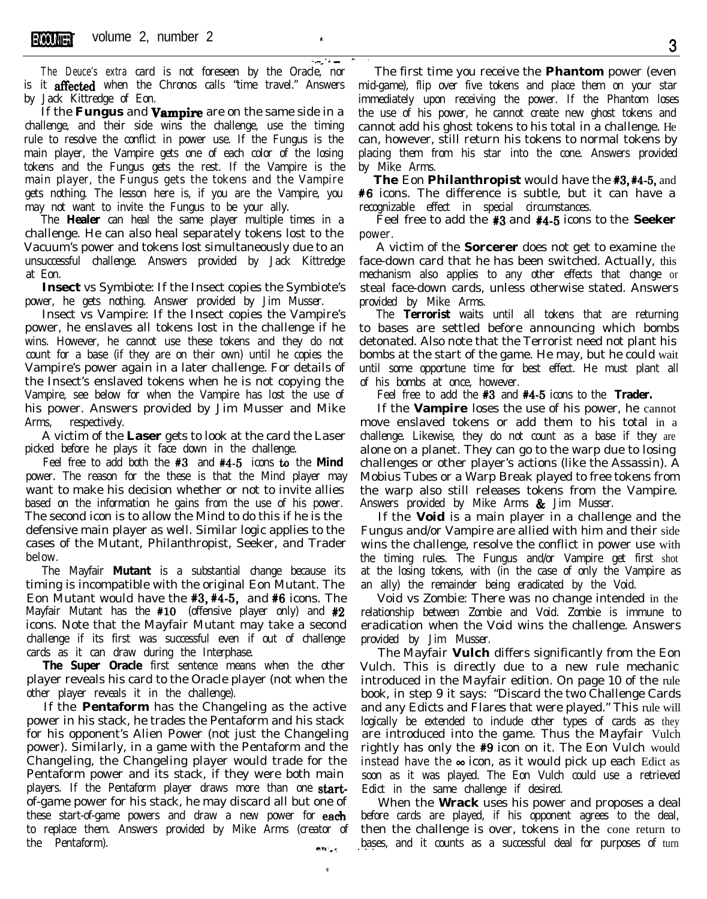سندلأ أساسية **The Deuce's extra** card is not foreseen by the Oracle, nor is it affected when the Chronos calls "time travel." Answers by Jack Kittredge of Eon.

If the **Fungus** and **Vampire** are on the same side in a challenge, and their side wins the challenge, use the timing rule to resolve the conflict in power use. If the Fungus is the main player, the Vampire gets one of each color of the losing tokens and the Fungus gets the rest. If the Vampire is the main player, the Fungus gets the tokens and the Vampire gets nothing. The lesson here is, if you are the Vampire, you may not want to invite the Fungus to be your ally.

The **Healer** can heal the same player multiple times in a challenge. He can also heal separately tokens lost to the Vacuum's power and tokens lost simultaneously due to an unsuccessful challenge. Answers provided by Jack Kittredge at Eon.

**Insect** vs Symbiote: If the Insect copies the Symbiote's power, he gets nothing. Answer provided by Jim Musser.

Insect vs Vampire: If the Insect copies the Vampire's power, he enslaves all tokens lost in the challenge if he wins. However, he cannot use these tokens and they do not count for a base (if they are on their own) until he copies the Vampire's power again in a later challenge. For details of the Insect's enslaved tokens when he is not copying the Vampire, see below for when the Vampire has lost the use of his power. Answers provided by Jim Musser and Mike Arms, respectively.

A victim of the **Laser** gets to look at the card the Laser picked before he plays it face down in the challenge.

Feel free to add both the #3 and #4-5 icons **to** the **Mind** power. The reason for the these is that the Mind player may want to make his decision whether or not to invite allies based on the information he gains from the use of his power. The second icon is to allow the Mind to do this if he is the defensive main player as well. Similar logic applies to the cases of the Mutant, Philanthropist, Seeker, and Trader below.

The Mayfair **Mutant** is a substantial change because its timing is incompatible with the original Eon Mutant. The Eon Mutant would have the #3, #4-5, and #6 icons. The Mayfair Mutant has the  $#10$  (offensive player only) and  $#2$ icons. Note that the Mayfair Mutant may take a second challenge if its first was successful even if out of challenge cards as it can draw during the Interphase.

**The Super Oracle** first sentence means when the other player reveals his card to the Oracle player (not when the other player reveals it in the challenge).

If the **Pentaform** has the Changeling as the active power in his stack, he trades the Pentaform and his stack for his opponent's Alien Power (not just the Changeling power). Similarly, in a game with the Pentaform and the Changeling, the Changeling player would trade for the Pentaform power and its stack, if they were both main players. If the Pentaform player draws more than one **start**of-game power for his stack, he may discard all but one of these start-of-game powers and draw a new power for **each** to replace them. Answers provided by Mike Arms (creator of the Pentaform).

c

The first time you receive the **Phantom** power (even mid-game), flip over five tokens and place them on your star immediately upon receiving the power. If the Phantom loses the use of his power, he cannot create new ghost tokens and cannot add his ghost tokens to his total in a challenge. He can, however, still return his tokens to normal tokens by placing them from his star into the cone. Answers provided by Mike Arms.

**The** Eon **Philanthropist** would have the #3, #4-5, and **#6** icons. The difference is subtle, but it can have a recognizable effect in special circumstances.

Feel free to add the #3 and #4-5 icons to the **Seeker** power.

A victim of the **Sorcerer** does not get to examine the face-down card that he has been switched. Actually, this mechanism also applies to any other effects that change or steal face-down cards, unless otherwise stated. Answers provided by Mike Arms.

The **Terrorist** waits until all tokens that are returning to bases are settled before announcing which bombs detonated. Also note that the Terrorist need not plant his bombs at the start of the game. He may, but he could wait until some opportune time for best effect. He must plant all of his bombs at once, however.

Feel free to add the #3 and #4-5 icons to the **Trader.**

If the **Vampire** loses the use of his power, he cannot move enslaved tokens or add them to his total in a challenge. Likewise, they do not count as a base if they are alone on a planet. They can go to the warp due to losing challenges or other player's actions (like the Assassin). A Mobius Tubes or a Warp Break played to free tokens from the warp also still releases tokens from the Vampire. Answers provided by Mike Arms  $\&$  Jim Musser.

If the **Void** is a main player in a challenge and the Fungus and/or Vampire are allied with him and their side wins the challenge, resolve the conflict in power use with the timing rules. The Fungus and/or Vampire get first shot at the losing tokens, with (in the case of only the Vampire as an ally) the remainder being eradicated by the Void.

Void vs Zombie: There was no change intended in the relationship between Zombie and Void. Zombie is immune to eradication when the Void wins the challenge. Answers provided by Jim Musser.

The Mayfair **Vulch** differs significantly from the Eon Vulch. This is directly due to a new rule mechanic introduced in the Mayfair edition. On page 10 of the rule book, in step 9 it says: "Discard the two Challenge Cards and any Edicts and Flares that were played." This rule will logically be extended to include other types of cards as they are introduced into the game. Thus the Mayfair Vulch rightly has only the #9 icon on it. The Eon Vulch would instead have the  $\infty$  icon, as it would pick up each Edict as soon as it was played. The Eon Vulch could use a retrieved Edict in the same challenge if desired.

When the **Wrack** uses his power and proposes a deal before cards are played, if his opponent agrees to the deal, then the challenge is over, tokens in the cone return to bases, and it counts as a successful deal for purposes of turn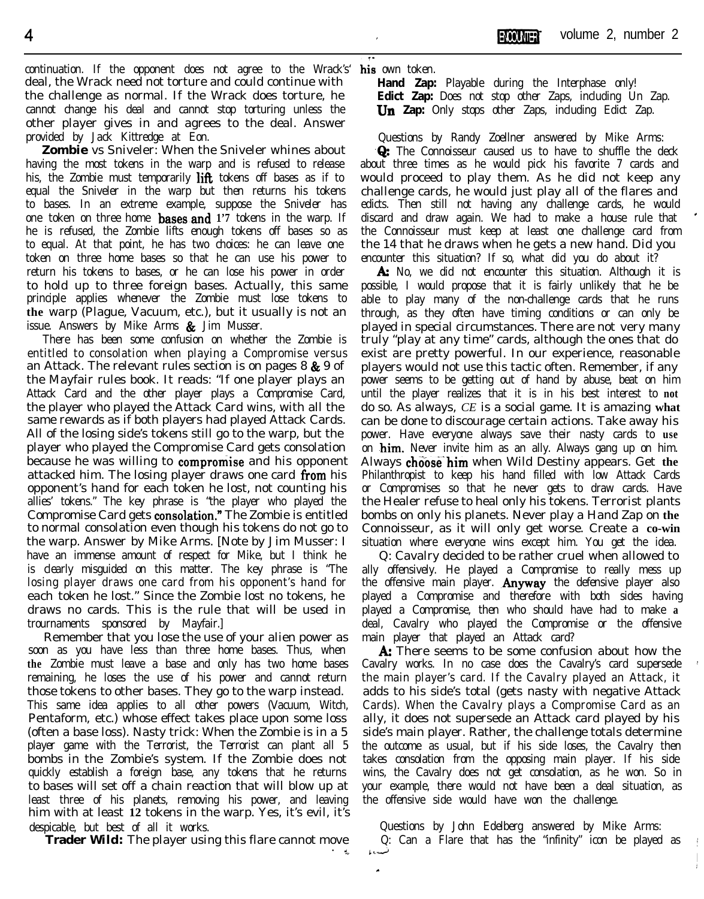continuation. If the opponent does not agree to the Wrack's' **his** own token. deal, the Wrack need not torture and could continue with the challenge as normal. If the Wrack does torture, he cannot change his deal and cannot stop torturing unless the other player gives in and agrees to the deal. Answer provided by Jack Kittredge at Eon.

**Zombie** vs Sniveler: When the Sniveler whines about having the most tokens in the warp and is refused to release his, the Zombie must temporarily lift tokens off bases as if to equal the Sniveler in the warp but then returns his tokens to bases. In an extreme example, suppose the Sniveler has one token on three home bases.and **1'7** tokens in the warp. If he is refused, the Zombie lifts enough tokens off bases so as to equal. At that point, he has two choices: he can leave one token on three home bases so that he can use his power to return his tokens to bases, or he can lose his power in order to hold up to three foreign bases. Actually, this same principle applies whenever the Zombie must lose tokens to **the** warp (Plague, Vacuum, etc.), but it usually is not an issue. Answers by Mike Arms  $\&$  Jim Musser.

There has been some confusion on whether the Zombie is entitled to consolation when playing a Compromise versus an Attack. The relevant rules section is on pages  $8 \& 9$  of the Mayfair rules book. It reads: "If one player plays an Attack Card and the other player plays a Compromise Card, the player who played the Attack Card wins, with all the same rewards as if both players had played Attack Cards. All of the losing side's tokens still go to the warp, but the player who played the Compromise Card gets consolation because he was willing to **compromise** and his opponent attacked him. The losing player draws one card from his opponent's hand for each token he lost, not counting his allies' tokens." The key phrase is "the player who played the Compromise Card gets consolation." The Zombie is entitled to normal consolation even though his tokens do not go to the warp. Answer by Mike Arms. [Note by Jim Musser: I have an immense amount of respect for Mike, but I think he is clearly misguided on this matter. The key phrase is "The losing player draws one card from his opponent's hand for each token he lost." Since the Zombie lost no tokens, he draws no cards. This is the rule that will be used in trournaments sponsored by Mayfair.]

Remember that you lose the use of your alien power as soon as you have less than three home bases. Thus, when **the** Zombie must leave a base and only has two home bases remaining, he loses the use of his power and cannot return those tokens to other bases. They go to the warp instead. This same idea applies to all other powers (Vacuum, Witch, Pentaform, etc.) whose effect takes place upon some loss (often a base loss). Nasty trick: When the Zombie is in a 5 player game with the Terrorist, the Terrorist can plant all 5 bombs in the Zombie's system. If the Zombie does not quickly establish a foreign base, any tokens that he returns to bases will set off a chain reaction that will blow up at least three of his planets, removing his power, and leaving him with at least **12** tokens in the warp. Yes, it's evil, it's despicable, but best of all it works.

**Trader Wild:** The player using this flare cannot move

.

**Hand Zap:** Playable during the Interphase only! **Edict Zap:** Does not stop other Zaps, including Un Zap. **Un Zap:** Only stops other Zaps, including Edict Zap.

Questions by Randy Zoellner answered by Mike Arms: **Q:** The Connoisseur caused us to have to shuffle the deck about three times as he would pick his favorite 7 cards and would proceed to play them. As he did not keep any challenge cards, he would just play all of the flares and edicts. Then still not having any challenge cards, he would discard and draw again. We had to make a house rule that \* the Connoisseur must keep at least one challenge card from the 14 that he draws when he gets a new hand. Did you encounter this situation? If so, what did you do about it?

A: No, we did not encounter this situation. Although it is possible, I would propose that it is fairly unlikely that he be able to play many of the non-challenge cards that he runs through, as they often have timing conditions or can only be played in special circumstances. There are not very many truly "play at any time" cards, although the ones that do / exist are pretty powerful. In our experience, reasonable players would not use this tactic often. Remember, if any power seems to be getting out of hand by abuse, beat on him until the player realizes that it is in his best interest to **not** do so. As always, *CE* is a social game. It is amazing **what j** can be done to discourage certain actions. Take away his power. Have everyone always save their nasty cards to **use** on **him.** Never invite him as an ally. Always gang up on him. Always **choose him** when Wild Destiny appears. Get the Philanthropist to keep his hand filled with low Attack Cards 1 or Compromises so that he never gets to draw cards. Have the Healer refuse to heal only his tokens. Terrorist plants bombs on only his planets. Never play a Hand Zap on **the** Connoisseur, as it will only get worse. Create a **co-win** situation where everyone wins except him. You get the idea.

Q: Cavalry decided to be rather cruel when allowed to ally offensively. He played a Compromise to really mess up the offensive main player. **Anyway** the defensive player also played a Compromise and therefore with both sides having played a Compromise, then who should have had to make **a** deal, Cavalry who played the Compromise or the offensive main player that played an Attack card?

A: There seems to be some confusion about how the Cavalry works. In no case does the Cavalry's card supersede the main player's card. If the Cavalry played an Attack, it adds to his side's total (gets nasty with negative Attack Cards). When the Cavalry plays a Compromise Card as an 2 ally, it does not supersede an Attack card played by his side's main player. Rather, the challenge totals determine the outcome as usual, but if his side loses, the Cavalry then takes consolation from the opposing main player. If his side wins, the Cavalry does not get consolation, as he won. So in your example, there would not have been a deal situation, as the offensive side would have won the challenge.

Questions by John Edelberg answered by Mike Arms:  $Q$ : Can a Flare that has the "infinity" icon be played as I " tcj

 $\mathbf{r}$  . The contract of the contract of the contract of the contract of the contract of the contract of the contract of the contract of the contract of the contract of the contract of the contract of the contract of th

I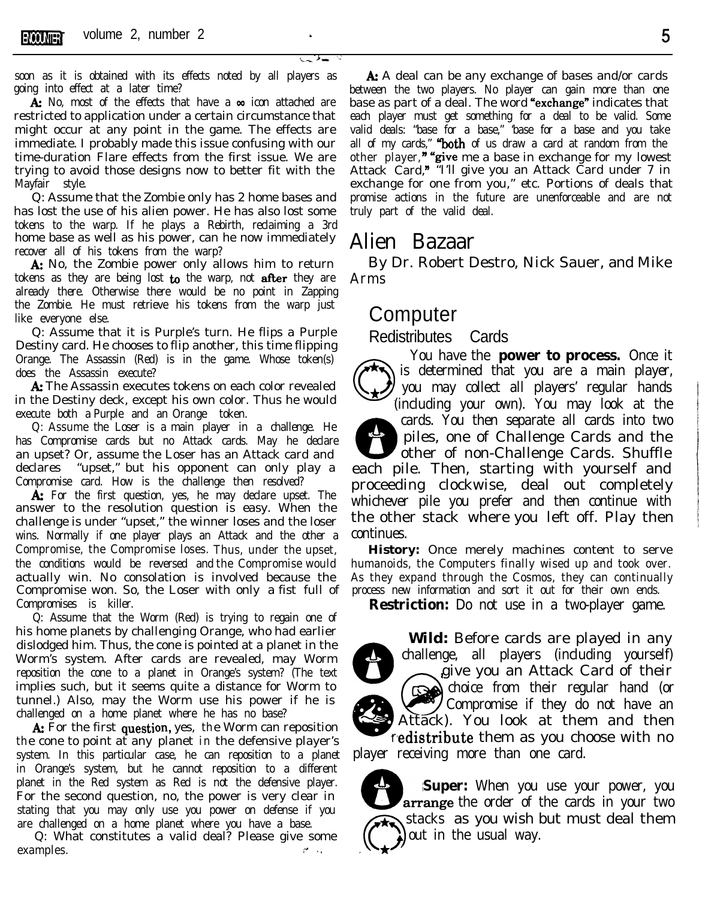soon as it is obtained with its effects noted by all players as going into effect at a later time?

A: No, most of the effects that have a  $\infty$  icon attached are restricted to application under a certain circumstance that might occur at any point in the game. The effects are immediate. I probably made this issue confusing with our time-duration Flare effects from the first issue. We are trying to avoid those designs now to better fit with the Mayfair style.

Q: Assume that the Zombie only has 2 home bases and has lost the use of his alien power. He has also lost some tokens to the warp. If he plays a Rebirth, reclaiming a 3rd home base as well as his power, can he now immediately recover all of his tokens from the warp?

A: No, the Zombie power only allows him to return tokens as they are being lost to the warp, not after they are already there. Otherwise there would be no point in Zapping the Zombie. He must retrieve his tokens from the warp just like everyone else.

Q: Assume that it is Purple's turn. He flips a Purple Destiny card. He chooses to flip another, this time flipping Orange. The Assassin (Red) is in the game. Whose token(s) does the Assassin execute?

A: The Assassin executes tokens on each color revealed in the Destiny deck, except his own color. Thus he would execute both a Purple and an Orange token.

Q: Assume the Loser is a main player in a challenge. He has Compromise cards but no Attack cards. May he declare an upset? Or, assume the Loser has an Attack card and declares "upset," but his opponent can only play a Compromise card. How is the challenge then resolved?

A: For the first question, yes, he may declare upset. The answer to the resolution question is easy. When the challenge is under "upset," the winner loses and the loser wins. Normally if one player plays an Attack and the other a Compromise, the Compromise loses. Thus, under the upset, the conditions would be reversed and the Compromise would actually win. No consolation is involved because the Compromise won. So, the Loser with only a fist full of Compromises is killer.

Q: Assume that the Worm (Red) is trying to regain one of his home planets by challenging Orange, who had earlier dislodged him. Thus, the cone is pointed at a planet in the Worm's system. After cards are revealed, may Worm reposition the cone to a planet in Orange's system? (The text implies such, but it seems quite a distance for Worm to tunnel.) Also, may the Worm use his power if he is challenged on a home planet where he has no base?

th e cone to point at any planet in the defensive player's A: For the first question, yes, the Worm can reposition system. In this particular case, he can reposition to a planet in Orange's system, but he cannot reposition to a different planet in the Red system as Red is not the defensive player. For the second question, no, the power is very clear in stating that you may only use you power on defense if you are challenged on a home planet where you have a base.

Q: What constitutes a valid deal? Please give some examples. The contract of the contract of the contract of the contract of the contract of the contract of the contract of the contract of the contract of the contract of the contract of the contract of the contract of the

A: A deal can be any exchange of bases and/or cards between the two players. No player can gain more than one base as part of a deal. The word "exchange" indicates that each player must get something for a deal to be valid. Some valid deals: "base for a base," 'base for a base and you take all of my cards," **"both** of us draw a card at random from the other player," "give me a base in exchange for my lowest Attack Card," "I'll give you an Attack Card under 7 in exchange for one from you," etc. Portions of deals that promise actions in the future are unenforceable and are not truly part of the valid deal.

## Alien Bazaar

By Dr. Robert Destro, Nick Sauer, and Mike Arms

## **Computer**

Redistributes Cards

 $\begin{pmatrix} 1 & 1 \\ 1 & 1 \end{pmatrix}$ You have the **power to process.** Once it is determined that you are a main player, \* 1 you may collect all players' regular hands (including your own). You may look at the 6 cards. You then separate all cards into two piles, one of Challenge Cards and the other of non-Challenge Cards. Shuffle each pile. Then, starting with yourself and proceeding clockwise, deal out completely whichever pile you prefer and then continue with the other stack where you left off. Play then continues.

**History:** Once merely machines content to serve humanoids, the Computers finally wised up and took over. As they expand through the Cosmos, they can continually process new information and sort it out for their own ends.

**Restriction:** Do not use in a two-player game.<br> **Wild:** Before cards are played in any challenge, all players (including yourself) give you an Attack Card of their **e**r **Wild:** Before cards are played in any challenge, all players (including yourself) give you an Attack Card of their choice from their regular hand (or  $\sum$ Compromise if they do not have an Attack). You look at them and then redistribute them as you choose with no player receiving more than one card.

**Super:** When you use your power, you arrange the order of the cards in your two stacks as you wish but must deal them out in the usual way.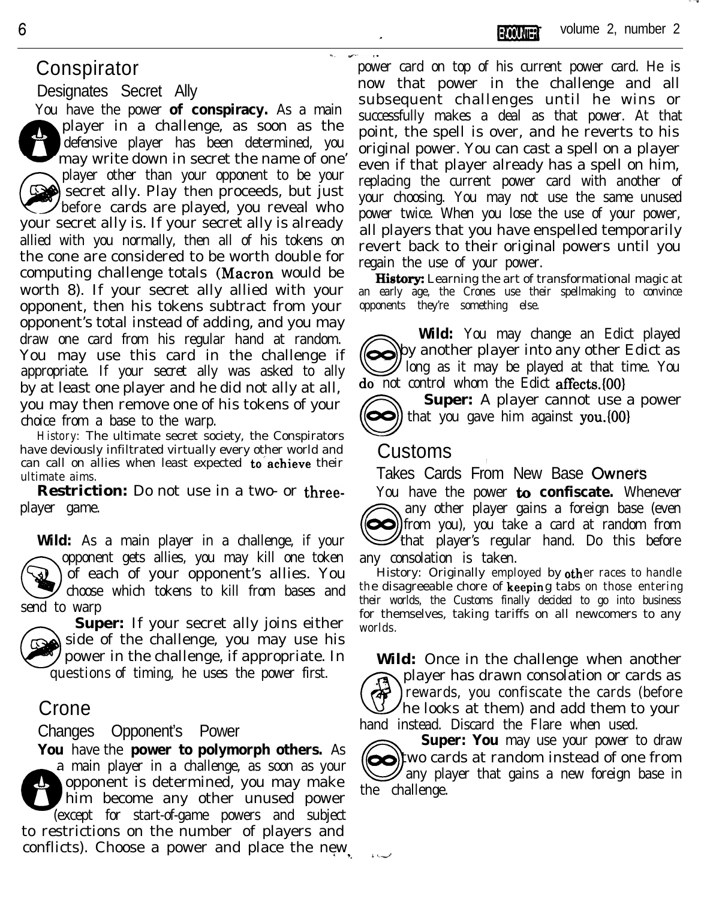# Conspirator

Designates Secret Ally

You have the power **of conspiracy.** As a main player in a challenge, as soon as the defensive player has been determined, you may write down in secret the name of one' player other than your opponent to be your So secret ally. Play then proceeds, but just before cards are played, you reveal who your secret ally is. If your secret ally is already allied with you normally, then all of his tokens on the cone are considered to be worth double for computing challenge totals (Macron would be worth 8). If your secret ally allied with your opponent, then his tokens subtract from your opponent's total instead of adding, and you may draw one card from his regular hand at random. You may use this card in the challenge if appropriate. If your secret ally was asked to ally by at least one player and he did not ally at all, you may then remove one of his tokens of your choice from a base to the warp.

**History:** The ultimate secret society, the Conspirators have deviously infiltrated virtually every other world and can call on allies when least expected to achieve their ultimate aims.

**Restriction:** Do not use in a two- or threeplayer game.

**Wild:** As a main player in a challenge, if your opponent gets allies, you may kill one token of each of your opponent's allies. You choose which tokens to kill from bases and send to warp



**Super:** If your secret ally joins either side of the challenge, you may use his power in the challenge, if appropriate. In questions of timing, he uses the power first.

# Crone

Changes Opponent's Power

**You** have the **power to polymorph others.** As a main player in a challenge, as soon as your  $\mathbf{t}_1$ opponent is determined, you may make him become any other unused power (except for start-of-game powers and subject to restrictions on the number of players and conflicts). Choose a power and place the new

power card on top of his current power card. He is now that power in the challenge and all subsequent challenges until he wins or successfully makes a deal as that power. At that point, the spell is over, and he reverts to his original power. You can cast a spell on a player even if that player already has a spell on him, replacing the current power card with another of your choosing. You may not use the same unused power twice. When you lose the use of your power, all players that you have enspelled temporarily revert back to their original powers until you regain the use of your power.

**History:** Learning the art of transformational magic at an early age, the Crones use their spellmaking to convince opponents they're something else.

Wild: You may change an Edict played<br>by another player into any other Edict as<br>do not control whom the Edict affects. [00] **Wild:** You may change an Edict played **I** long as it may be played at that time. You do' not control whom the Edict affects.(OO)

**Super:** A player cannot use a power  $\blacktriangleright$ ) that you gave him against you. {00}

### Customs

مساعة

 $\mathbf{v}$ 

Takes Cards From New Base Owners

You have the power to **confiscate.** Whenever  $\sum_{t=0}^{1}$ any other player gains a foreign base (even any other player gains a foreign base (even)<br>(i) from you), you take a card at random from that player's regular hand. Do this before any consolation is taken.

the disagreeable chore of **keepin**g tabs on those entering History: Originally employed by other races to handle their worlds, the Customs finally decided to go into business for themselves, taking tariffs on all newcomers to any worlds.

**Wild:** Once in the challenge when another @ player has drawn consolation or cards as . rewards, you confiscate the cards (before  $\lambda$ he looks at them) and add them to your

hand instead. Discard the Flare when used.<br> **Super: You** may use your power to the challenge that gains a new foreign the challenge **Super: You** may use your power to draw  $\odot$  two cards at random instead of one from  $\mathscr I$  any player that gains a new foreign base in the challenge.

6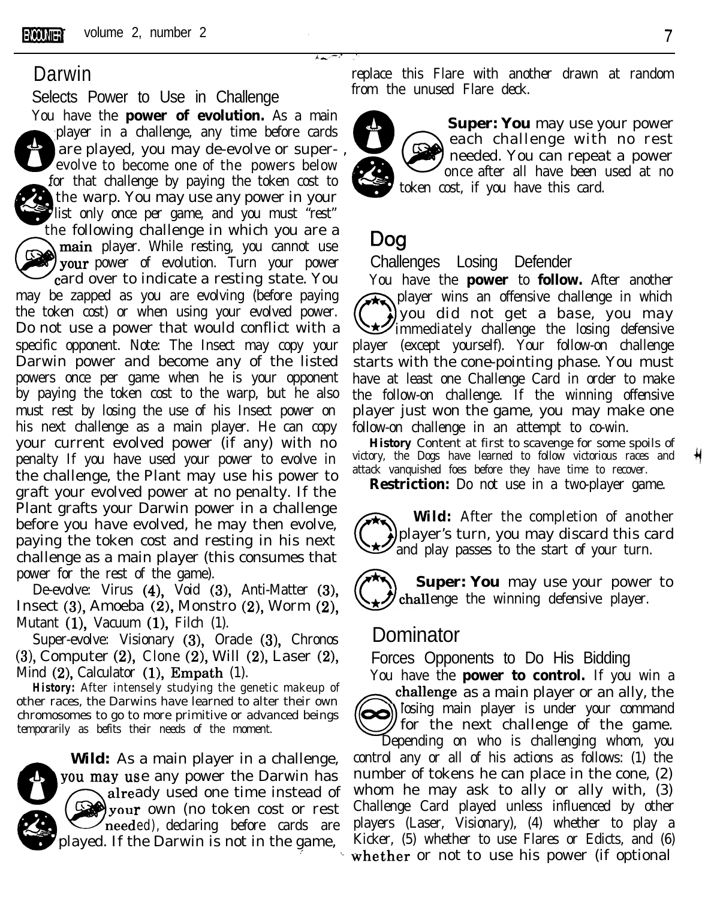Selects Power to Use in Challenge from the unused Flare deck.

You have the **power of evolution.** As a main player in a challenge, any time before cards  $\mathbf{A}_s$  $\mathbf{c}$ player in a challenge, any time before cards<br>are played, you may de-evolve or super-,<br>evolve to become one of the powers below<br>ar that challenge by paying the taken cost to for that challenge by paying the token cost to token cost, if you have this card. the warp. You may use any power in your<br>list only once per game, and you must "rest" the following challenge in which you are a main player. While resting, you cannot use your power of evolution. Turn your power ard over to indicate a resting state. You may be zapped as you are evolving (before paying the token cost) or when using your evolved power. Do not use a power that would conflict with a specific opponent. Note: The Insect may copy your Darwin power and become any of the listed powers once per game when he is your opponent by paying the token cost to the warp, but he also must rest by losing the use of his Insect power on his next challenge as a main player. He can copy your current evolved power (if any) with no penalty If you have used your power to evolve in the challenge, the Plant may use his power to graft your evolved power at no penalty. If the Plant grafts your Darwin power in a challenge before you have evolved, he may then evolve, paying the token cost and resting in his next challenge as a main player (this consumes that power for the rest of the game).

De-evolve: Virus (4), Void (3), Anti-Matter (3), Insect (3), Amoeba (2), Monstro (2), Worm (2), Mutant (1), Vacuum (1), Filch (1).

Super-evolve: Visionary (3), Oracle (3), Chronos (3), Computer (2), Clone (2), Will (2), Laser (2), Mind  $(2)$ , Calculator  $(1)$ , Empath  $(1)$ .

**History:** After intensely studying the genetic makeup of other races, the Darwins have learned to alter their own chromosomes to go to more primitive or advanced beings temporarily as befits their needs of the moment.



**Wild:** As a main player in a challenge, you may use any power the Darwin has already used one time instead of your own (no token cost or rest meeded), declaring before cards are played. If the Darwin is not in the game,

**Darwin Conserverse Exercise 2.1 The Separate Separate Separate in the Flare with another drawn at random** 



**Super: You** may use your power each challenge with no rest needed. You can repeat a power once after all have been used at no

### **Dog**

Challenges Losing Defender

You have the **power** to **follow.** After another player wins an offensive challenge in which you did not get a base, you may  $\sum_{m=1}^{\infty}$  immediately challenge the losing defensive player (except yourself). Your follow-on challenge starts with the cone-pointing phase. You must have at least one Challenge Card in order to make the follow-on challenge. If the winning offensive player just won the game, you may make one follow-on challenge in an attempt to co-win.

**History** Content at first to scavenge for some spoils of victory, the Dogs have learned to follow victorious races and attack vanquished foes before they have time to recover.

**Restriction:** Do not use in a two-player game.

**Wild:** After the completion of another player's turn, you may discard this card **Z** and play passes to the start of your turn.

**Super: You** may use your power to challenge the winning defensive player.

### Dominator

Forces Opponents to Do His Bidding

You have the **power to control.** If you win a challenge as a main player or an ally, the losing main player is under your command for the next challenge of the game.

Depending on who is challenging whom, you control any or all of his actions as follows: (1) the number of tokens he can place in the cone, (2) whom he may ask to ally or ally with, (3) Challenge Card played unless influenced by other players (Laser, Visionary), (4) whether to play a Kicker, (5) whether to use Flares or Edicts, and (6) whether or not to use his power (if optional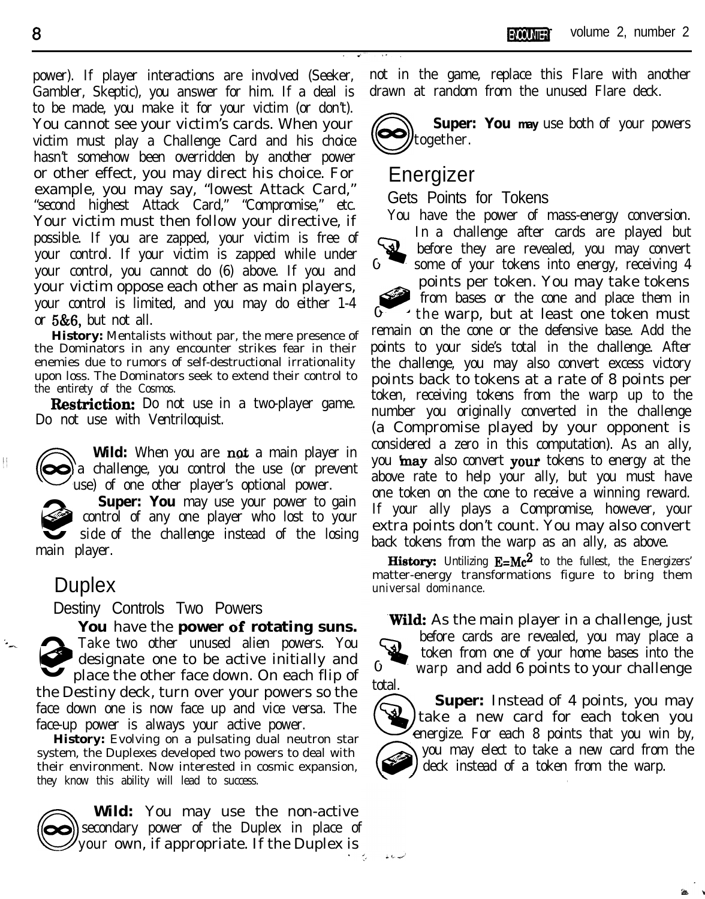power). If player interactions are involved (Seeker, Gambler, Skeptic), you answer for him. If a deal is to be made, you make it for your victim (or don't). You cannot see your victim's cards. When your victim must play a Challenge Card and his choice hasn't somehow been overridden by another power or other effect, you may direct his choice. For example, you may say, "lowest Attack Card," "second highest Attack Card," "Compromise," etc. Your victim must then follow your directive, if possible. If you are zapped, your victim is free of your control. If your victim is zapped while under your control, you cannot do (6) above. If you and your victim oppose each other as main players, your control is limited, and you may do either 1-4 or  $5&6$ , but not all.

**History:** Mentalists without par, the mere presence of the Dominators in any encounter strikes fear in their enemies due to rumors of self-destructional irrationality upon loss. The Dominators seek to extend their control to the entirety of the Cosmos.

**Restriction:** Do not use in a two-player game. Do not use with Ventriloquist.

**Wild:** When you are **not** a main player in a challenge, you control the use (or prevent use) of one other player's optional power.

 $\bigcirc$ **Super: You** may use your power to gain control of any one player who lost to your side of the challenge instead of the losing main player.

### **Duplex**

 $\begin{array}{c} \begin{array}{c} \begin{array}{c} \begin{array}{c} \end{array} \end{array} \end{array} \end{array} \end{array}$ 

Destiny Controls Two Powers

**You** have the **power 6f rotating suns.**  $\hat{\mathbf{e}}$ Take two other unused alien powers. You designate one to be active initially and place the other face down. On each flip of the Destiny deck, turn over your powers so the face down one is now face up and vice versa. The face-up power is always your active power.

**History:** Evolving on a pulsating dual neutron star system, the Duplexes developed two powers to deal with their environment. Now interested in cosmic expansion, they know this ability will lead to success.

**Wild:** You may use the non-active secondary power of the Duplex in place of your own, if appropriate. If the Duplex is

not in the game, replace this Flare with another



0

0

سدره با

drawn at random from the unused Flare deck.<br>
Super: You may use both of your polytogether. **Super: You may** use both of your powers

# Energizer

Gets Points for Tokens

You have the power of mass-energy conversion. In a challenge after cards are played but **W** before they are revealed, you may convert some of your tokens into energy, receiving 4 Qg@ points per token. You may take tokens from bases or the cone and place them in

 $\overline{0}$ the warp, but at least one token must remain on the cone or the defensive base. Add the points to your side's total in the challenge. After the challenge, you may also convert excess victory points back to tokens at a rate of 8 points per token, receiving tokens from the warp up to the number you originally converted in the challenge (a Compromise played by your opponent is considered a zero in this computation). As an ally, you **may** also convert your tokens to energy at the above rate to help your ally, but you must have one token on the cone to receive a winning reward. If your ally plays a Compromise, however, your extra points don't count. You may also convert back tokens from the warp as an ally, as above.

**History:** Untilizing  $E=Mc^2$  to the fullest, the Energizers' matter-energy transformations figure to bring them universal dominance.

**Wild:** As the main player in a challenge, just



total. @ **Super:** Instead of 4 points, you may take a new card for each token you energize. For each 8 points that you win by,  $\begin{pmatrix} 0 \\ 0 \end{pmatrix}$  $*$ @ you may elect to take a new card from the deck instead of a token from the warp.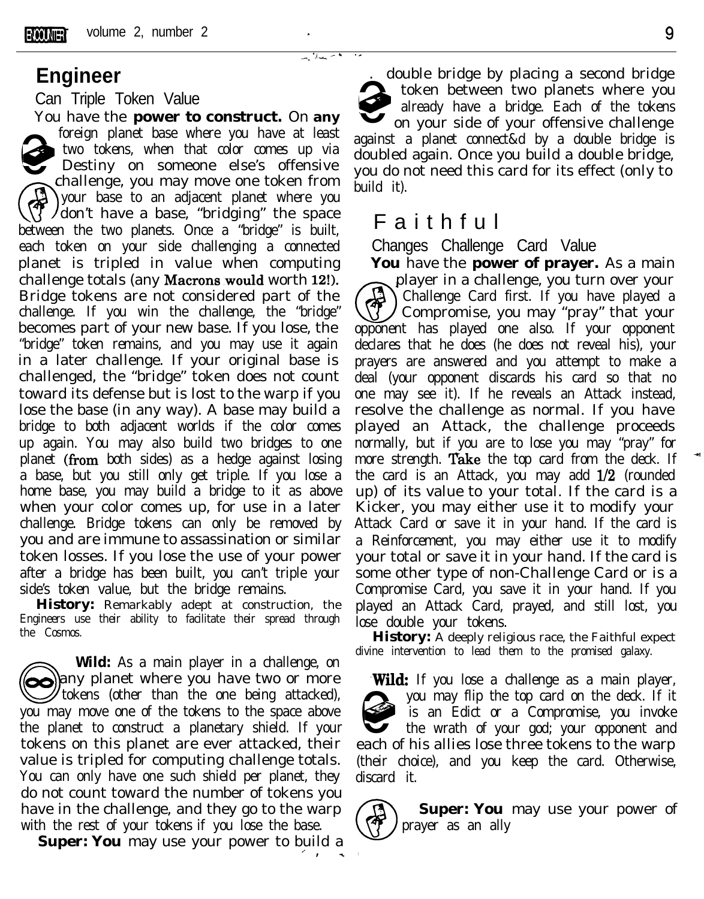### **Engineer**

### Can Triple Token Value

You have the **power to construct.** On **any** foreign planet base where you have at least<br>two tokens, when that color comes up via<br>Destiny on someone else's offensive<br>challenge you may move one token from two tokens, when that color comes up via Destiny on someone else's offensive challenge, you may move one token from  $\bigcirc$ your base to an adjacent planet where you don't have a base, "bridging" the space between the two planets. Once a "bridge" is built, each token on your side challenging a connected planet is tripled in value when computing challenge totals (any Macrons would worth 12!). Bridge tokens are not considered part of the challenge. If you win the challenge, the "bridge" becomes part of your new base. If you lose, the "bridge" token remains, and you may use it again in a later challenge. If your original base is challenged, the "bridge" token does not count toward its defense but is lost to the warp if you lose the base (in any way). A base may build a bridge to both adjacent worlds if the color comes up again. You may also build two bridges to one planet (from both sides) as a hedge against losing a base, but you still only get triple. If you lose a home base, you may build a bridge to it as above when your color comes up, for use in a later challenge. Bridge tokens can only be removed by you and are immune to assassination or similar token losses. If you lose the use of your power after a bridge has been built, you can't triple your side's token value, but the bridge remains.

**History:** Remarkably adept at construction, the Engineers use their ability to facilitate their spread through the Cosmos.

 $\bigcirc$ **Wild:** As a main player in a challenge, on Wild: As a main player in a challenge, on<br>any planet where you have two or more tokens (other than the one being attacked), you may move one of the tokens to the space above the planet to construct a planetary shield. If your tokens on this planet are ever attacked, their value is tripled for computing challenge totals. You can only have one such shield per planet, they do not count toward the number of tokens you have in the challenge, and they go to the warp with the rest of your tokens if you lose the base.

**Super: You** may use your power to build a

. double bridge by placing a second bridge 0e token between two planets where you already have a bridge. Each of the tokens on your side of your offensive challenge against a planet connect&d by a double bridge is doubled again. Once you build a double bridge, you do not need this card for its effect (only to build it).

## Faithful

 $'$  /  $-$ 

.C

Changes Challenge Card Value

**You** have the **power of prayer.** As a main player in a challenge, you turn over your  $\binom{4}{2}$ Challenge Card first. If you have played a Compromise, you may "pray" that your opponent has played one also. If your opponent declares that he does (he does not reveal his), your prayers are answered and you attempt to make a deal (your opponent discards his card so that no one may see it). If he reveals an Attack instead, resolve the challenge as normal. If you have played an Attack, the challenge proceeds normally, but if you are to lose you may "pray" for more strength. Take the top card from the deck. If the card is an Attack, you may add l/2 (rounded up) of its value to your total. If the card is a Kicker, you may either use it to modify your Attack Card or save it in your hand. If the card is a Reinforcement, you may either use it to modify your total or save it in your hand. If the card is some other type of non-Challenge Card or is a Compromise Card, you save it in your hand. If you played an Attack Card, prayed, and still lost, you lose double your tokens.

**History:** A deeply religious race, the Faithful expect divine intervention to lead them to the promised galaxy.

**.Wild:** If you lose a challenge as a main player, 0@@ you may flip the top card on the deck. If it is an Edict or a Compromise, you invoke the wrath of your god; your opponent and each of his allies lose three tokens to the warp (their choice), and you keep the card. Otherwise, discard it.

GD **Super: You** may use your power of prayer as an ally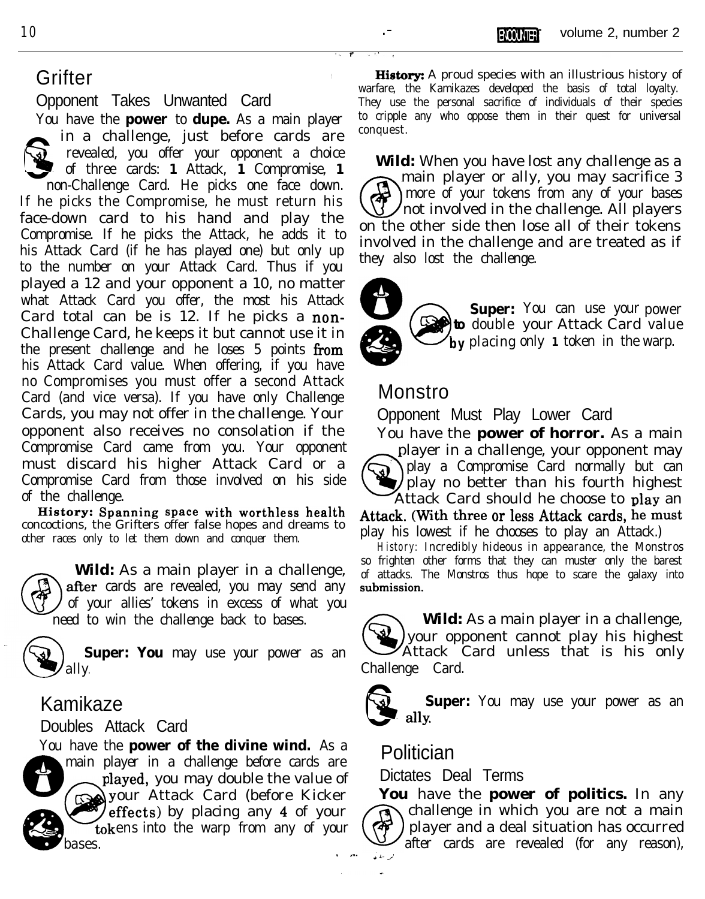Opponent Takes Unwanted Card

You have the **power** to **dupe.** As a main player  $\bigotimes_{\text{non-}1}^{\text{in}}$ a challenge, just before cards are **Warner** revealed, you offer your opponent a choice of three cards: **1** Attack, **1** Compromise, **1** non-Challenge Card. He picks one face down. If he picks the Compromise, he must return his face-down card to his hand and play the Compromise. If he picks the Attack, he adds it to his Attack Card (if he has played one) but only up to the number on your Attack Card. Thus if you played a 12 and your opponent a 10, no matter what Attack Card you offer, the most his Attack Card total can be is 12. If he picks a non-Challenge Card, he keeps it but cannot use it in the present challenge and he loses 5 points from his Attack Card value. When offering, if you have no Compromises you must offer a second Attack Card (and vice versa). If you have only Challenge Cards, you may not offer in the challenge. Your opponent also receives no consolation if the Compromise Card came from you. Your opponent must discard his higher Attack Card or a<br>Compromise Card from those involved on his side<br>of the challenge. Compromise Card from those involved on his side

**HistOrY: Spanning space with worthless health** concoctions, the Grifters offer false hopes and dreams to other races only to let them down and conquer them. play his lowest if he chooses to play an Attack.)

 $\bigcirc$ after cards are revealed, you may send any of your allies' tokens in excess of what you need to win the challenge back to bases.

ally. Challenge Card.

### Kamikaze

You have the **power of the divine wind.** As a 5 main player in a challenge before cards are **Politician**<br>main player in a challenge before cards are **Politician** played, you may double the value of played, you may double the value of ffects) by placing any 4 of your tokens into the warp from any of your  $\left(\begin{matrix} 1 \\ 0 \end{matrix}\right)$ 

Grifter **Grifter Grifter History:** A proud species with an illustrious history of warfare, the Kamikazes developed the basis of total loyalty. They use the personal sacrifice of individuals of their species to cripple any who oppose them in their quest for universal conquest.

> **Wild:** When you have lost any challenge as a main player or ally, you may sacrifice 3 G I more of your tokens from any of your bases not involved in the challenge. All players on the other side then lose all of their tokens involved in the challenge and are treated as if they also lost the challenge.



to double your Attack Card value **b**y placing only 1 token in the warp. **Super:** You can use your power

### Monstro

Opponent Must Play Lower Card

You have the **power of horror.** As a main player in a challenge, your opponent may play a Compromise Card normally but can play no better than his fourth highest Attack Card should he choose to plav an

**Attack.** (With three or less Attack cards, he must

**History:** Incredibly hideous in appearance, the Monstros **Wild:** As a main player in a challenge, so frighten other forms that they can muster only the barest **Wild:** As a main player in a challenge, of attacks. The Monstros thus hope to scare the galaxy into of attacks. The Monstros thus hope to scare the galaxy into submission.

Super: You may use your power as an **CO** your opponent cannot play his highest **Wild:** As a main player in a challenge, your opponent cannot play his highest



Kamikaze<br>Doubles Attack Card **Super:** *Super***:** You may use your power as an **dlY**.

You have the **power of politics.** In any challenge in which you are not a main player and a deal situation has occurred after cards are revealed (for any reason),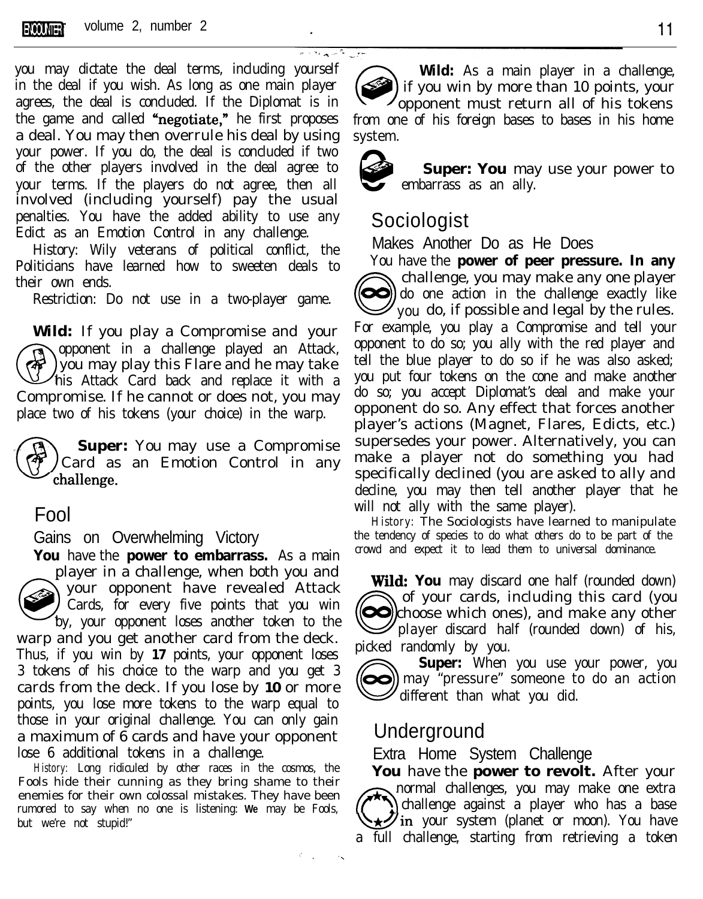

you may dictate the deal terms, including yourself in the deal if you wish. As long as one main player agrees, the deal is concluded. If the Diplomat is in the game and called "negotiate," he first proposes a deal. You may then overrule his deal by using your power. If you do, the deal is concluded if two of the other players involved in the deal agree to your terms. If the players do not agree, then all involved (including yourself) pay the usual penalties. You have the added ability to use any Edict as an Emotion Control in any challenge.

History: Wily veterans of political conflict, the Politicians have learned how to sweeten deals to their own ends.

Restriction: Do not use in a two-player game.

**Wild:** If you play a Compromise and your Opponent in a challenge played an Attack,<br>
you may play this Flare and he may take<br>
his Attack Card back and replace it with a opponent in a challenge played an Attack, you may play this Flare and he may take Compromise. If he cannot or does not, you may place two of his tokens (your choice) in the warp.

**Super:** You may use a Compromise Card as an Emotion Control in any challenge.

## Fool

Gains on Overwhelming Victory

**You** have the **power to embarrass.** As a main player in a challenge, when both you and  $\bigodot$ your opponent have revealed Attack Cards, for every five points that you win by, your opponent loses another token to the warp and you get another card from the deck. Thus, if you win by **17** points, your opponent loses 3 tokens of his choice to the warp and you get 3 cards from the deck. If you lose by **10** or more points, you lose more tokens to the warp equal to those in your original challenge. You can only gain a maximum of 6 cards and have your opponent lose 6 additional tokens in a challenge.

**History:** Long ridiculed by other races in the cosmos, the Fools hide their cunning as they bring shame to their enemies for their own colossal mistakes. They have been rumored to say when no one is listening: **We** may be Fools, but we're not stupid!"

**Wild:** As a main player in a challenge, if you win by more than 10 points, your opponent must return all of his tokens from one of his foreign bases to bases in his home system.



حوزر كالسريرانة

**Super: You** may use your power to embarrass as an ally.

### Sociologist

Makes Another Do as He Does

You have the **power of peer pressure. In any** Fou have the **power of peer pressure.** In any challenge, you may make any one player<br>do one action in the challenge exactly like<br>you do, if possible and legal by the rules. challenge, you may make any one player  $\mathscr{D}$  you do, if possible and legal by the rules. For example, you play a Compromise and tell your opponent to do so; you ally with the red player and tell the blue player to do so if he was also asked; you put four tokens on the cone and make another do so; you accept Diplomat's deal and make your opponent do so. Any effect that forces another player's actions (Magnet, Flares, Edicts, etc.) supersedes your power. Alternatively, you can make a player not do something you had specifically declined (you are asked to ally and decline, you may then tell another player that he will not ally with the same player).

**History:** The Sociologists have learned to manipulate the tendency of species to do what others do to be part of the crowd and expect it to lead them to universal dominance.

**Wtid: You** may discard one half (rounded down) Wild<br> **O** of your cards, including this card (you **OO** choose which ones), and make any other player discard half (rounded down) of his, picked randomly by you.

Super: When you use your power, you may "pressure" someone to do an action  $\mathcal{Q}$  different than what you did.

### Underground

Extra Home System Challenge

**You** have the **power to revolt.** After your four may challenges, you may make one extra<br>challenge against a player who has a base<br>in your system (planet or moon). You have callenge against a player who has a base<br>in your system (planet or moon). You have a full challenge, starting from retrieving a token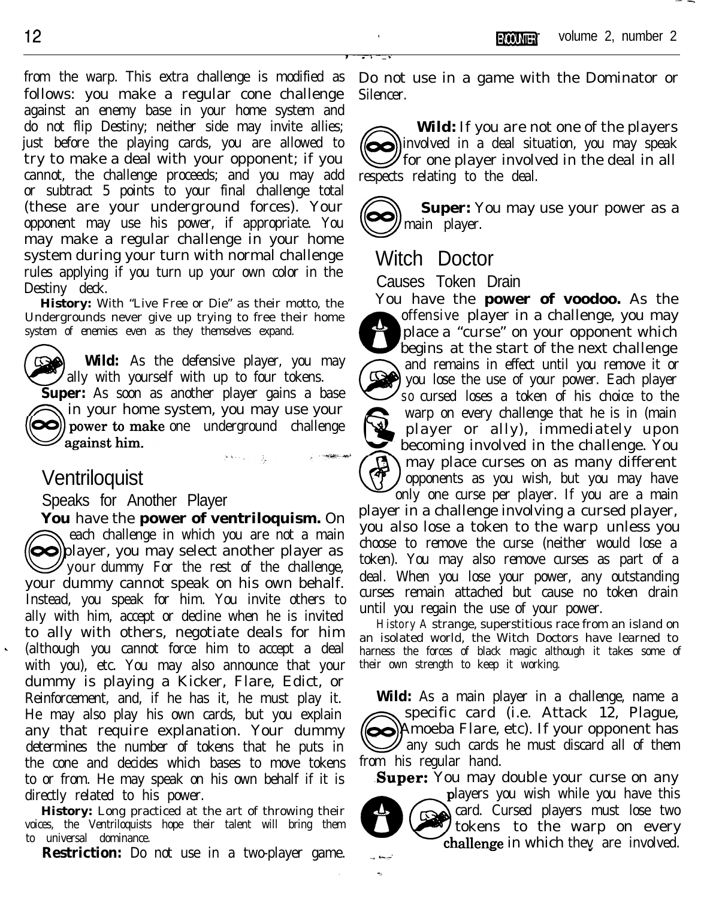from the warp. This extra challenge is modified as follows: you make a regular cone challenge against an enemy base in your home system and do not flip Destiny; neither side may invite allies; just before the playing cards, you are allowed to try to make a deal with your opponent; if you cannot, the challenge proceeds; and you may add or subtract 5 points to your final challenge total (these are your underground forces). Your opponent may use his power, if appropriate. You may make a regular challenge in your home system during your turn with normal challenge rules applying if you turn up your own color in the Destiny deck.

**History:** With "Live Free or Die" as their motto, the Undergrounds never give up trying to free their home system of enemies even as they themselves expand.

**Wild:** As the defensive player, you may ally with yourself with up to four tokens. **Super:** As soon as another player gains a base in your home system, you may use your  $\infty$ ) power to make one underground challenge  $\mathscr{D}$  against him.

# Ventriloquist

Speaks for Another Player

**You** have the **power of ventriloquism.** On  $\overline{y}$ each challenge in which you are not a main each challenge in which you are not a main<br>
player, you may select another player as your dummy For the rest of the challenge, your dummy cannot speak on his own behalf. Instead, you speak for him. You invite others to ally with him, accept or decline when he is invited to ally with others, negotiate deals for him (although you cannot force him to accept a deal with you), etc. You may also announce that your dummy is playing a Kicker, Flare, Edict, or Reinforcement, and, if he has it, he must play it. He may also play his own cards, but you explain any that require explanation. Your dummy determines the number of tokens that he puts in the cone and decides which bases to move tokens to or from. He may speak on his own behalf if it is directly related to his power.

**History:** Long practiced at the art of throwing their voices, the Ventriloquists hope their talent will bring them to universal dominance.

**Restriction:** Do not use in a two-player game.

Do not use in a game with the Dominator or Silencer.

Wild: If you are n<br>
involved in a deal situation<br>
for one player involves<br>
respects relating to the deal. **Wild:** If you are not one of the players  $\odot$ ) involved in a deal situation, you may speak **Solution** for one player involved in the deal in all

 $\circled{\!\!\!~}$ **Super:** You may use your power as a main player.

# Witch Doctor

Causes Token Drain

You have the **power of voodoo.** As the offensive player in a challenge, you may . . : e, place a "curse" on your opponent which begins at the start of the next challenge @ and remains in effect until you remove it or \ you lose the use of your power. Each player so cursed loses a token of his choice to the  $\mathbb{Q}$ warp on every challenge that he is in (main player or ally), immediately upon so cursed loses a token of his choice to the<br>warp on every challenge that he is in (main<br>player or ally), immediately upon<br>becoming involved in the challenge. You **! &ii9** may place curses on as many different opponents as you wish, but you may have only one curse per player. If you are a main

player in a challenge involving a cursed player, you also lose a token to the warp unless you choose to remove the curse (neither would lose a token). You may also remove curses as part of a deal. When you lose your power, any outstanding curses remain attached but cause no token drain until you regain the use of your power.

**History A** strange, superstitious race from an island on an isolated world, the Witch Doctors have learned to harness the forces of black magic although it takes some of their own strength to keep it working.

**Wild:** As a main player in a challenge, name a Specific card (i.e. Attack 12, Plague,<br>Amoeba Flare, etc). If your opponent has<br>any such cards he must discard all of them specific card (i.e. Attack 12, Plague, any such cards he must discard all of them from his regular hand.

**Super:** You may double your curse on any



layers you wish while you have this card. Cursed players must lose two tokens to the warp on every challenge in which they are involved.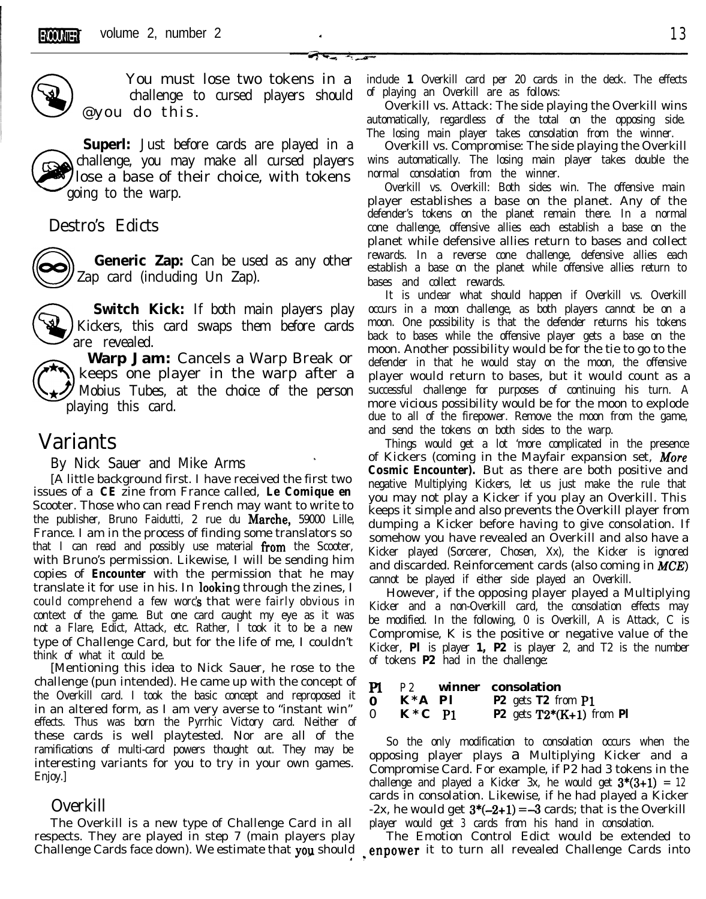\* - \_



You must lose two tokens in a @ @you do this. challenge to cursed players should

**Superl:** Just before cards are played in a challenge, you may make all cursed players lose a base of their choice, with tokens going to the warp.

### Destro's Edicts



**Generic Zap:** Can be used as any other Zap card (including Un Zap).

 $\bigotimes$ **Switch Kick:** If both main players play Kickers, this card swaps them before cards are revealed.

**Warp Jam:** Cancels a Warp Break or keeps one player in the warp after a Mobius Tubes, at the choice of the person playing this card.

## Variants

By Nick Sauer and Mike Arms \

[A little background first. I have received the first two issues of a *CE* zine from France called, *Le Comique en* Scooter. Those who can read French may want to write to the publisher, Bruno Faidutti, 2 rue du Marche, 59000 Lille, France. I am in the process of finding some translators so that I can read and possibly use material from the Scooter, with Bruno's permission. Likewise, I will be sending him copies of *Encounter* with the permission that he may translate it for use in his. In looking through the zines, I could comprehend a. few words that were fairly obvious in context of the game. But one card caught my eye as it was not a Flare, Edict, Attack, etc. Rather, I took it to be a new type of Challenge Card, but for the life of me, I couldn't think of what it could be.

[Mentioning this idea to Nick Sauer, he rose to the challenge (pun intended). He came up with the concept of the Overkill card. I took the basic concept and reproposed it in an altered form, as I am very averse to "instant win" effects. Thus was born the Pyrrhic Victory card. Neither of these cards is well playtested. Nor are all of the ramifications of multi-card powers thought out. They may be interesting variants for you to try in your own games. Enjoy.]

### Overkill

The Overkill is a new type of Challenge Card in all respects. They are played in step 7 (main players play Challenge Cards face down). We estimate that you should include **1** Overkill card per 20 cards in the deck. The effects of playing an Overkill are as follows:

Overkill vs. Attack: The side playing the Overkill wins automatically, regardless of the total on the opposing side. The losing main player takes consolation from the winner.

Overkill vs. Compromise: The side playing the Overkill wins automatically. The losing main player takes double the normal consolation from the winner.

ens in a include 1 Overkill card per 20 cards in the deck. The effers should of playing an Overkill are as follows:<br>
Overkill vs. Attack: The side playing the Overkill vs. attomatically, regardless of the total on the oppo Overkill vs. Overkill: Both sides win. The offensive main player establishes a base on the planet. Any of the defender's tokens on the planet remain there. In a normal cone challenge, offensive allies each establish a base on the planet while defensive allies return to bases and collect rewards. In a reverse cone challenge, defensive allies each establish a base on the planet while offensive allies return to bases and collect rewards.

> It is unclear what should happen if Overkill vs. Overkill occurs in a moon challenge, as both players cannot be on a moon. One possibility is that the defender returns his tokens back to bases while the offensive player gets a base on the moon. Another possibility would be for the tie to go to the defender in that he would stay on the moon, the offensive player would return to bases, but it would count as a successful challenge for purposes of continuing his turn. A more vicious possibility would be for the moon to explode due to all of the firepower. Remove the moon from the game, and send the tokens on both sides to the warp.

> Things would get a lot 'more complicated in the presence of Kickers (coming in the Mayfair expansion set, **More** *Cosmic Encounter).* But as there are both positive and negative Multiplying Kickers, let us just make the rule that you may not play a Kicker if you play an Overkill. This keeps it simple and also prevents the Overkill player from dumping a Kicker before having to give consolation. If somehow you have revealed an Overkill and also have a Kicker played (Sorcerer, Chosen, Xx), the Kicker is ignored and discarded. Reinforcement cards (also coming in *MCE*) cannot be played if either side played an Overkill.

> However, if the opposing player played a Multiplying Kicker and a non-Overkill card, the consolation effects may be modified. In the following, 0 is Overkill, A is Attack, C is Compromise, K is the positive or negative value of the Kicker, **Pl** is player **1, P2** is player 2, and T2 is the number of tokens **P2** had in the challenge:

**Pl P2 winner consolation 0 K\*A Pl P2** gets **T2** from **Pl** 0 **K\*C Pl P2** gets **T2\*(K+l)** from **Pl**

So the only modification to consolation occurs when the opposing player plays a Multiplying Kicker and a Compromise Card. For example, if P2 had 3 tokens in the challenge and played a Kicker 3x, he would get  $3*(3+1) = 12$ cards in consolation. Likewise, if he had played a Kicker  $-2x$ , he would get  $3*(-2+1) = -3$  cards; that is the Overkill player would get **3** cards from his hand in consolation.

The Emotion Control Edict would be extended to ? enpower it to turn all revealed Challenge Cards into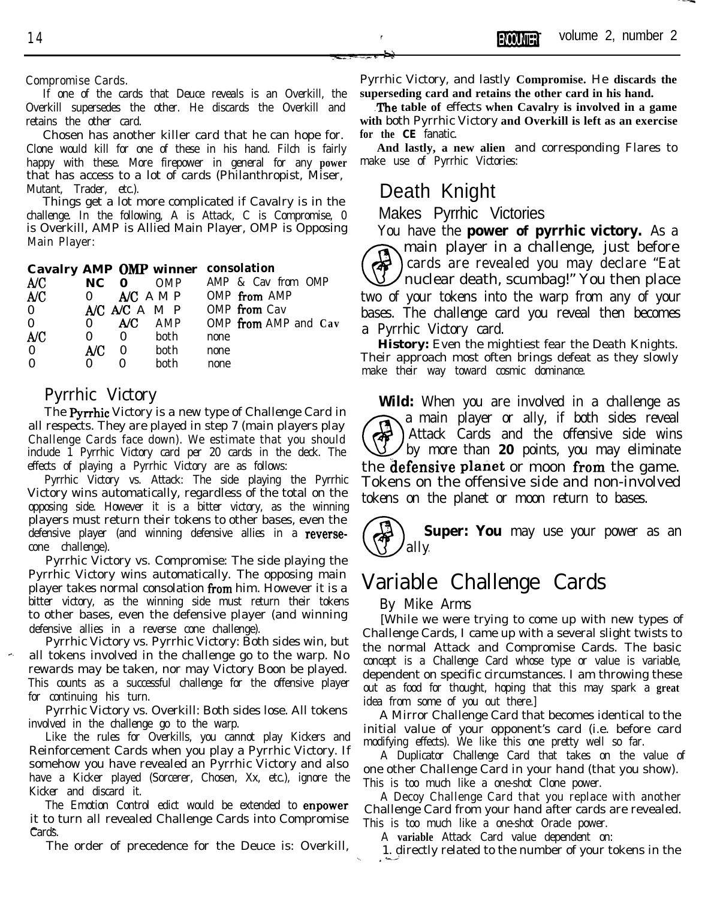If one of the cards that Deuce reveals is an Overkill, the Overkill supersedes the other. He discards the Overkill and retains the other card.

Chosen has another killer card that he can hope for. Clone would kill for one of these in his hand. Filch is fairly happy with these. More firepower in general for any **power** that has access to a lot of cards (Philanthropist, Miser, Mutant, Trader, etc.).

Things get a lot more complicated if Cavalry is in the challenge. In the following, A is Attack, C is Compromise, 0 is Overkill, AMP is Allied Main Player, OMP is Opposing Main Player:

**Cavalry AMP OMI? winner consolation**

| A/C          | $NC \t0$     |                                   | OMP           | AMP & Cav from OMP   |  |
|--------------|--------------|-----------------------------------|---------------|----------------------|--|
| A/C          | $\mathbf{0}$ |                                   | $AC$ AMP      | OMP from AMP         |  |
| $\mathbf{0}$ |              |                                   | A/C A/C A M P | OMP from Cav         |  |
| $\theta$     | $\Omega$     |                                   | A/C AMP       | OMP from AMP and Cav |  |
| A/C          | $\Omega$     | $\theta$                          | both          | none                 |  |
| $\Omega$     | A/C          | $\begin{array}{cc} 0 \end{array}$ | both          | none                 |  |
| $\Omega$     | $_{0}$       | $\mathbf{0}$                      | both          | none                 |  |
|              |              |                                   |               |                      |  |

### Pyrrhic Victory

The Pyrrhic Victory is a new type of Challenge Card in all respects. They are played in step 7 (main players play Challenge Cards face down). We estimate that you should include 1 Pyrrhic Victory card per 20 cards in the deck. The effects of playing a Pyrrhic Victory are as follows:

Pyrrhic Victory vs. Attack: The side playing the Pyrrhic Victory wins automatically, regardless of the total on the opposing side. However it is a bitter victory, as the winning players must return their tokens to other bases, even the defensive player (and winning defensive allies in a reversecone challenge).

Pyrrhic Victory vs. Compromise: The side playing the Pyrrhic Victory wins automatically. The opposing main player takes normal consolation from him. However it is a bitter victory, as the winning side must return their tokens to other bases, even the defensive player (and winning defensive allies in a reverse cone challenge).

Pyrrhic Victory vs. Pyrrhic Victory: Both sides win, but all tokens involved in the challenge go to the warp. No rewards may be taken, nor may Victory Boon be played. This counts as a successful challenge for the offensive player for continuing his turn.

Pyrrhic Victory vs. Overkill: Both sides lose. All tokens involved in the challenge go to the warp.

Like the rules for Overkills, you cannot play Kickers and Reinforcement Cards when you play a Pyrrhic Victory. If somehow you have revealed an Pyrrhic Victory and also have a Kicker played (Sorcerer, Chosen, Xx, etc.), ignore the Kicker and discard it.

The Emotion Control edict would be extended to enpower it to turn all revealed Challenge Cards into Compromise Cards.

The order of precedence for the Deuce is: Overkill,

Pyrrhic Victory, and lastly **Compromise.** He **discards the superseding card and retains the other card in his hand.**

**The table of** effects **when Cavalry is involved in a game with** both Pyrrhic Victory **and Overkill is left as an exercise for the** *CE* fanatic.

**And lastly, a new alien** and corresponding Flares to make use of Pyrrhic Victories:

# Death Knight

Makes Pyrrhic Victories

You have the **power of pyrrhic victory.** As a @ main player in a challenge, just before cards are revealed you may declare "Eat nuclear death, scumbag!" You then place two of your tokens into the warp from any of your bases. The challenge card you reveal then becomes a Pyrrhic Victory card.

**History:** Even the mightiest fear the Death Knights. Their approach most often brings defeat as they slowly make their way toward cosmic dominance.

**Wild:** When you are involved in a challenge as **@** a main player or ally, if both sides reveal Attack Cards and the offensive side wins by more than **20** points, you may eliminate the **defensive planet** or moon from the game. Tokens on the offensive side and non-involved tokens on the planet or moon return to bases.



**Super: You** may use your power as an

# Variable Challenge Cards

By Mike Arms

[While we were trying to come up with new types of Challenge Cards, I came up with a several slight twists to the normal Attack and Compromise Cards. The basic concept is a Challenge Card whose type or value is variable, dependent on specific circumstances. I am throwing these out as food for thought, hoping that this may spark a **great** idea from some of you out there.]

A Mirror Challenge Card that becomes identical to the initial value of your opponent's card (i.e. before card modifying effects). We like this one pretty well so far.

A Duplicator Challenge Card that takes on the value of one other Challenge Card in your hand (that you show). This is too much like a one-shot Clone power.

A Decoy Challenge Card that you replace with another Challenge Card from your hand after cards are revealed. This is too much like a one-shot Oracle power.

A **variable** Attack Card value dependent on:

1. directly related to the number of your tokens in the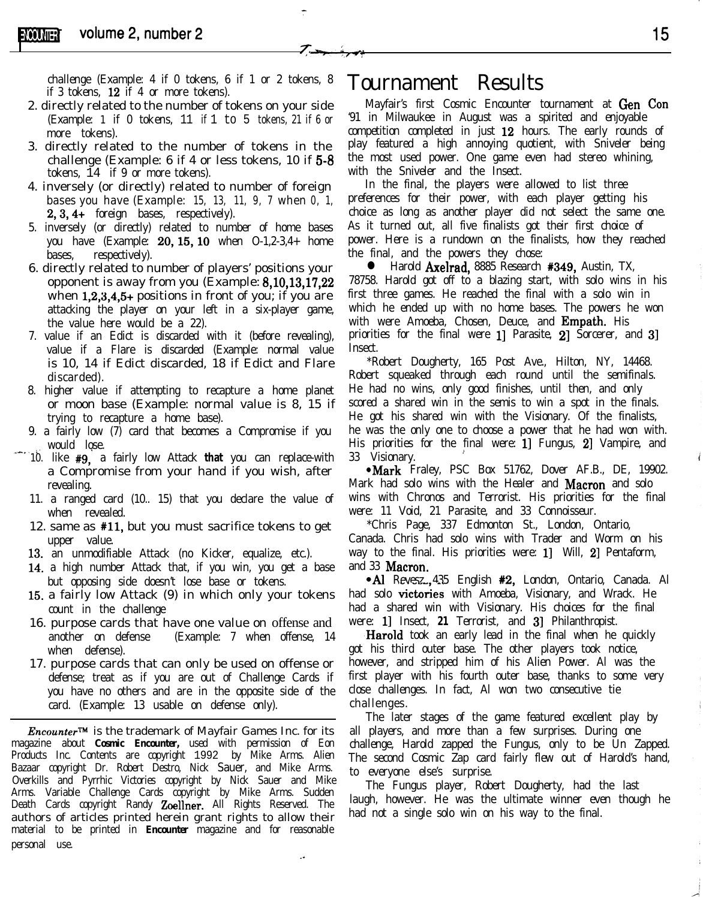challenge (Example: 4 if 0 tokens, 6 if 1 or 2 tokens, 8 if 3 tokens, 12 if 4 or more tokens).

- 2. directly related to the number of tokens on your side (Example: 1 if 0 tokens, 11 if 1 to 5 tokens, 21 if 6 or more tokens).
- 3. directly related to the number of tokens in the challenge (Example: 6 if 4 or less tokens, 10 if 5-8 tokens, 14 if 9 or more tokens).
- 4. inversely (or directly) related to number of foreign bases you have  $(Example: 15, 13, 11, 9, 7$  when  $0, 1$ , 2,3,4+ foreign bases, respectively).
- 5. inversely (or directly) related to number of home bases you have (Example: 20,15,10 when O-1,2-3,4+ home bases, respectively).
- 6. directly related to number of players' positions your opponent is away from you (Example: 8,10,13,17,22 when 1,2,3,4,5+ positions in front of you; if you are attacking the player on your left in a six-player game, the value here would be a 22).
- 7. value if an Edict is discarded with it (before revealing), value if a Flare is discarded (Example: normal value is 10, 14 if Edict discarded, 18 if Edict and Flare discarded).
- 8. higher value if attempting to recapture a home planet or moon base (Example: normal value is 8, 15 if trying to recapture a home base).
- 9. a fairly low (7) card that becomes a Compromise if you would lose. .-xc. '.'
	- 10. like #9,' a fairly low Attack **that** you can replace-with a Compromise from your hand if you wish, after revealing.
	- 11. a ranged card (10.. 15) that you declare the value of when revealed.
	- 12. same as #ll, but you must sacrifice tokens to get upper value.
	- 13. an unmodifiable Attack (no Kicker, equalize, etc.).
	- 14. a high number Attack that, if you win, you get a base but opposing side doesn't lose base or tokens.
	- 15. a fairly low Attack (9) in which only your tokens count in the challenge
	- 16. purpose cards that have one value on offense and another on defense (Example: 7 when offense, 14 when defense).
	- 17. purpose cards that can only be used on offense or defense; treat as if you are out of Challenge Cards if you have no others and are in the opposite side of the card. (Example: 13 usable on defense only).

*Encounter*<sup>™</sup> is the trademark of Mayfair Games Inc. for its magazine about *Cosmic Encounter,* used with permission of Eon Products Inc. Contents are copyright 1992 by Mike Arms. Alien Bazaar copyright Dr. Robert Destro, Nick Sauer, and Mike Arms. Overkills and Pyrrhic Victories copyright by Nick Sauer and Mike Arms. Variable Challenge Cards copyright by Mike Arms. Sudden Death Cards copyright Randy **Zoellner.** All Rights Reserved. The authors of articles printed herein grant rights to allow their material to be printed in *Encounter* magazine and for reasonable personal use.

## Tournament Results

Mayfair's first Cosmic Encounter tournament at Gen Con '91 in Milwaukee in August was a spirited and enjoyable competition completed in just 12 hours. The early rounds of play featured a high annoying quotient, with Sniveler being the most used power. One game even had stereo whining, with the Sniveler and the Insect.

In the final, the players were allowed to list three preferences for their power, with each player getting his choice as long as another player did not select the same one. As it turned out, all five finalists got their first choice of power. Here is a rundown on the finalists, how they reached the final, and the powers they chose:

**IF** Harold **Axelrad, 8885 Research #349, Austin, TX,** 78758. Harold got off to a blazing start, with solo wins in his first three games. He reached the final with a solo win in which he ended up with no home bases. The powers he won with were Amoeba, Chosen, Deuce, and **Empath.** His priorities for the final were 1 Parasite, 2 Sorcerer, and 3 **Insect.** 

\*Robert Dougherty, 165 Post Ave., Hilton, NY, 14468. Robert squeaked through each round until the semifinals. He had no wins, only good finishes, until then, and only scored a shared win in the semis to win a spot in the finals. He got his shared win with the Visionary. Of the finalists, he was the only one to choose a power that he had won with. His priorities for the final were: 1] Fungus, 2] Vampire, and 33 Visionary. 2

• Mark Fraley, PSC Box 51762, Dover AF.B., DE, 19902. Mark had solo wins with the Healer and Macron and solo wins with Chronos and Terrorist. His priorities for the final were: 11 Void, 21 Parasite, and 33 Connoisseur.

\*Chris Page, 337 Edmonton St., London, Ontario, Canada. Chris had solo wins with Trader and Worm on his way to the final. His priorities were: 1] Will, 2] Pentaform, and 33 **Macron**.

• Al Revesz., 435 English #2, London, Ontario, Canada. Al had solo victories with Amoeba, Visionary, and Wrack. He had a shared win with Visionary. His choices for the final were: 1] Insect, 21 Terrorist, and 3] Philanthropist.

**Harold** took an early lead in the final when he quickly got his third outer base. The other players took notice, however, and stripped him of his Alien Power. Al was the first player with his fourth outer base, thanks to some very close challenges. In fact, Al won two consecutive tie challenges.

The later stages of the game featured excellent play by all players, and more than a few surprises. During one challenge, Harold zapped the Fungus, only to be Un Zapped. The second Cosmic Zap card fairly flew out of Harold's hand, to everyone else's surprise.

The Fungus player, Robert Dougherty, had the last laugh, however. He was the ultimate winner even though he had not a single solo win on his way to the final.